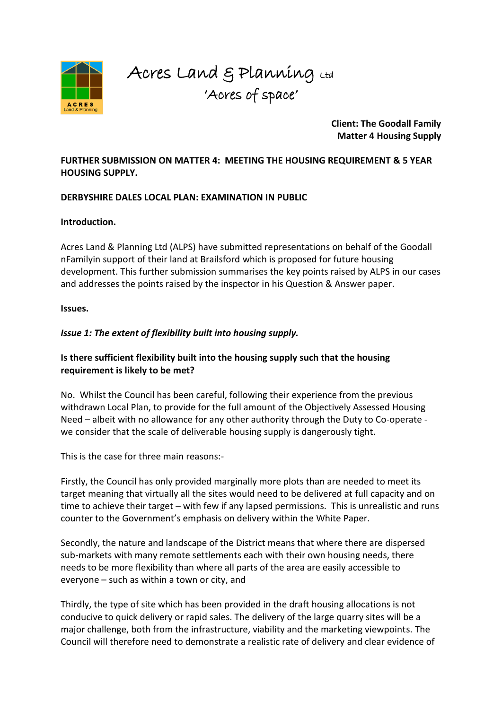

Acres Land & Planning Ltd 'Acres of space'

> **Client: The Goodall Family Matter 4 Housing Supply**

**FURTHER SUBMISSION ON MATTER 4: MEETING THE HOUSING REQUIREMENT & 5 YEAR HOUSING SUPPLY.**

### **DERBYSHIRE DALES LOCAL PLAN: EXAMINATION IN PUBLIC**

#### **Introduction.**

Acres Land & Planning Ltd (ALPS) have submitted representations on behalf of the Goodall nFamilyin support of their land at Brailsford which is proposed for future housing development. This further submission summarises the key points raised by ALPS in our cases and addresses the points raised by the inspector in his Question & Answer paper.

#### **Issues.**

### *Issue 1: The extent of flexibility built into housing supply.*

### **Is there sufficient flexibility built into the housing supply such that the housing requirement is likely to be met?**

No. Whilst the Council has been careful, following their experience from the previous withdrawn Local Plan, to provide for the full amount of the Objectively Assessed Housing Need – albeit with no allowance for any other authority through the Duty to Co-operate we consider that the scale of deliverable housing supply is dangerously tight.

This is the case for three main reasons:-

Firstly, the Council has only provided marginally more plots than are needed to meet its target meaning that virtually all the sites would need to be delivered at full capacity and on time to achieve their target – with few if any lapsed permissions. This is unrealistic and runs counter to the Government's emphasis on delivery within the White Paper.

Secondly, the nature and landscape of the District means that where there are dispersed sub-markets with many remote settlements each with their own housing needs, there needs to be more flexibility than where all parts of the area are easily accessible to everyone – such as within a town or city, and

Thirdly, the type of site which has been provided in the draft housing allocations is not conducive to quick delivery or rapid sales. The delivery of the large quarry sites will be a major challenge, both from the infrastructure, viability and the marketing viewpoints. The Council will therefore need to demonstrate a realistic rate of delivery and clear evidence of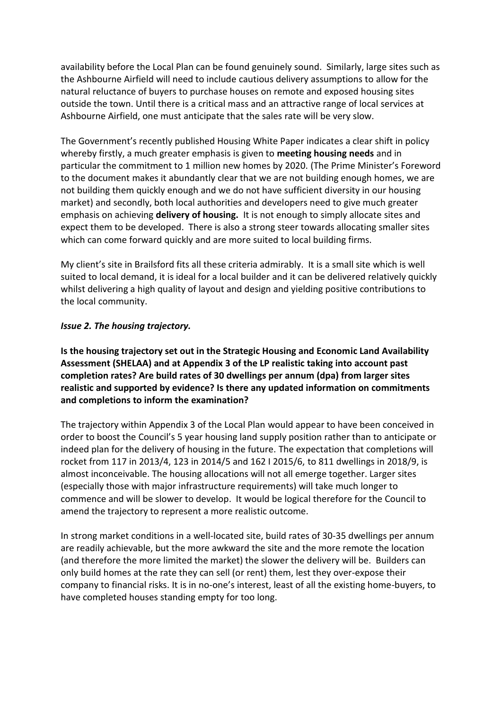availability before the Local Plan can be found genuinely sound. Similarly, large sites such as the Ashbourne Airfield will need to include cautious delivery assumptions to allow for the natural reluctance of buyers to purchase houses on remote and exposed housing sites outside the town. Until there is a critical mass and an attractive range of local services at Ashbourne Airfield, one must anticipate that the sales rate will be very slow.

The Government's recently published Housing White Paper indicates a clear shift in policy whereby firstly, a much greater emphasis is given to **meeting housing needs** and in particular the commitment to 1 million new homes by 2020. (The Prime Minister's Foreword to the document makes it abundantly clear that we are not building enough homes, we are not building them quickly enough and we do not have sufficient diversity in our housing market) and secondly, both local authorities and developers need to give much greater emphasis on achieving **delivery of housing.** It is not enough to simply allocate sites and expect them to be developed. There is also a strong steer towards allocating smaller sites which can come forward quickly and are more suited to local building firms.

My client's site in Brailsford fits all these criteria admirably. It is a small site which is well suited to local demand, it is ideal for a local builder and it can be delivered relatively quickly whilst delivering a high quality of layout and design and yielding positive contributions to the local community.

### *Issue 2. The housing trajectory.*

**Is the housing trajectory set out in the Strategic Housing and Economic Land Availability Assessment (SHELAA) and at Appendix 3 of the LP realistic taking into account past completion rates? Are build rates of 30 dwellings per annum (dpa) from larger sites realistic and supported by evidence? Is there any updated information on commitments and completions to inform the examination?** 

The trajectory within Appendix 3 of the Local Plan would appear to have been conceived in order to boost the Council's 5 year housing land supply position rather than to anticipate or indeed plan for the delivery of housing in the future. The expectation that completions will rocket from 117 in 2013/4, 123 in 2014/5 and 162 I 2015/6, to 811 dwellings in 2018/9, is almost inconceivable. The housing allocations will not all emerge together. Larger sites (especially those with major infrastructure requirements) will take much longer to commence and will be slower to develop. It would be logical therefore for the Council to amend the trajectory to represent a more realistic outcome.

In strong market conditions in a well-located site, build rates of 30-35 dwellings per annum are readily achievable, but the more awkward the site and the more remote the location (and therefore the more limited the market) the slower the delivery will be. Builders can only build homes at the rate they can sell (or rent) them, lest they over-expose their company to financial risks. It is in no-one's interest, least of all the existing home-buyers, to have completed houses standing empty for too long.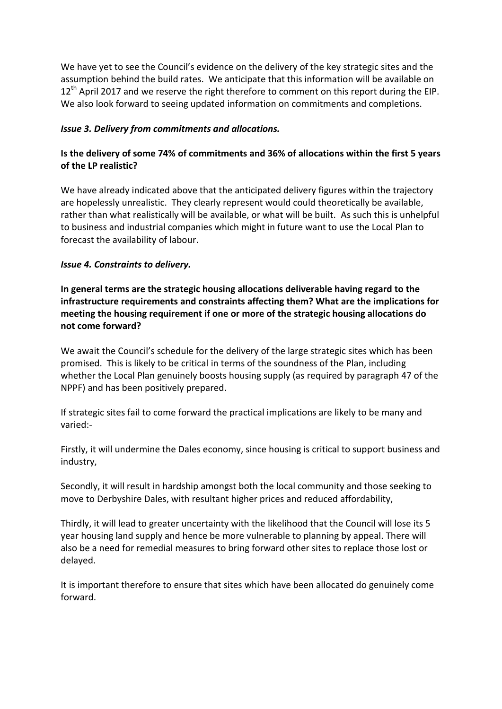We have yet to see the Council's evidence on the delivery of the key strategic sites and the assumption behind the build rates. We anticipate that this information will be available on  $12<sup>th</sup>$  April 2017 and we reserve the right therefore to comment on this report during the EIP. We also look forward to seeing updated information on commitments and completions.

### *Issue 3. Delivery from commitments and allocations.*

# **Is the delivery of some 74% of commitments and 36% of allocations within the first 5 years of the LP realistic?**

We have already indicated above that the anticipated delivery figures within the trajectory are hopelessly unrealistic. They clearly represent would could theoretically be available, rather than what realistically will be available, or what will be built. As such this is unhelpful to business and industrial companies which might in future want to use the Local Plan to forecast the availability of labour.

### *Issue 4. Constraints to delivery.*

**In general terms are the strategic housing allocations deliverable having regard to the infrastructure requirements and constraints affecting them? What are the implications for meeting the housing requirement if one or more of the strategic housing allocations do not come forward?** 

We await the Council's schedule for the delivery of the large strategic sites which has been promised. This is likely to be critical in terms of the soundness of the Plan, including whether the Local Plan genuinely boosts housing supply (as required by paragraph 47 of the NPPF) and has been positively prepared.

If strategic sites fail to come forward the practical implications are likely to be many and varied:-

Firstly, it will undermine the Dales economy, since housing is critical to support business and industry,

Secondly, it will result in hardship amongst both the local community and those seeking to move to Derbyshire Dales, with resultant higher prices and reduced affordability,

Thirdly, it will lead to greater uncertainty with the likelihood that the Council will lose its 5 year housing land supply and hence be more vulnerable to planning by appeal. There will also be a need for remedial measures to bring forward other sites to replace those lost or delayed.

It is important therefore to ensure that sites which have been allocated do genuinely come forward.